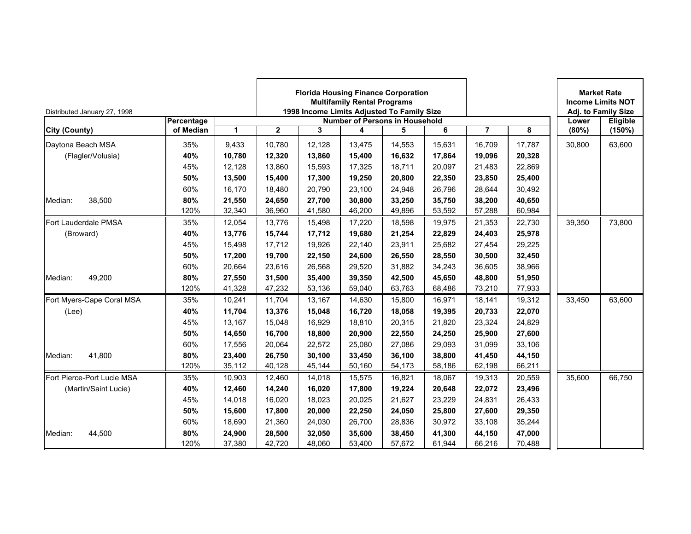| Distributed January 27, 1998 |            |             | <b>Florida Housing Finance Corporation</b><br><b>Multifamily Rental Programs</b><br>1998 Income Limits Adjusted To Family Size<br><b>Number of Persons in Household</b><br>$\mathbf{2}$<br>3<br>5<br>6<br>4 |        |        |        |        |                |        |        | <b>Market Rate</b><br><b>Income Limits NOT</b><br>Adj. to Family Size |
|------------------------------|------------|-------------|-------------------------------------------------------------------------------------------------------------------------------------------------------------------------------------------------------------|--------|--------|--------|--------|----------------|--------|--------|-----------------------------------------------------------------------|
|                              | Percentage |             |                                                                                                                                                                                                             |        |        |        |        |                |        | Lower  | Eligible                                                              |
| <b>City (County)</b>         | of Median  | $\mathbf 1$ |                                                                                                                                                                                                             |        |        |        |        | $\overline{7}$ | 8      | (80%)  | (150%)                                                                |
| Daytona Beach MSA            | 35%        | 9,433       | 10,780                                                                                                                                                                                                      | 12,128 | 13,475 | 14,553 | 15,631 | 16,709         | 17,787 | 30,800 | 63,600                                                                |
| (Flagler/Volusia)            | 40%        | 10,780      | 12,320                                                                                                                                                                                                      | 13,860 | 15,400 | 16,632 | 17,864 | 19,096         | 20,328 |        |                                                                       |
|                              | 45%        | 12,128      | 13,860                                                                                                                                                                                                      | 15,593 | 17,325 | 18,711 | 20,097 | 21,483         | 22,869 |        |                                                                       |
|                              | 50%        | 13,500      | 15,400                                                                                                                                                                                                      | 17,300 | 19,250 | 20,800 | 22,350 | 23,850         | 25,400 |        |                                                                       |
|                              | 60%        | 16.170      | 18,480                                                                                                                                                                                                      | 20,790 | 23,100 | 24,948 | 26.796 | 28,644         | 30,492 |        |                                                                       |
| 38,500<br>Median:            | 80%        | 21.550      | 24,650                                                                                                                                                                                                      | 27,700 | 30,800 | 33,250 | 35.750 | 38,200         | 40,650 |        |                                                                       |
|                              | 120%       | 32,340      | 36,960                                                                                                                                                                                                      | 41,580 | 46,200 | 49,896 | 53,592 | 57,288         | 60,984 |        |                                                                       |
| Fort Lauderdale PMSA         | 35%        | 12,054      | 13,776                                                                                                                                                                                                      | 15,498 | 17,220 | 18,598 | 19,975 | 21,353         | 22,730 | 39,350 | 73,800                                                                |
| (Broward)                    | 40%        | 13,776      | 15,744                                                                                                                                                                                                      | 17,712 | 19,680 | 21,254 | 22,829 | 24,403         | 25,978 |        |                                                                       |
|                              | 45%        | 15.498      | 17.712                                                                                                                                                                                                      | 19,926 | 22,140 | 23,911 | 25.682 | 27,454         | 29,225 |        |                                                                       |
|                              | 50%        | 17,200      | 19,700                                                                                                                                                                                                      | 22,150 | 24,600 | 26,550 | 28,550 | 30,500         | 32,450 |        |                                                                       |
|                              | 60%        | 20,664      | 23,616                                                                                                                                                                                                      | 26,568 | 29,520 | 31,882 | 34,243 | 36,605         | 38,966 |        |                                                                       |
| 49,200<br>Median:            | 80%        | 27,550      | 31,500                                                                                                                                                                                                      | 35,400 | 39,350 | 42,500 | 45,650 | 48,800         | 51,950 |        |                                                                       |
|                              | 120%       | 41,328      | 47,232                                                                                                                                                                                                      | 53,136 | 59,040 | 63,763 | 68,486 | 73,210         | 77,933 |        |                                                                       |
| Fort Myers-Cape Coral MSA    | 35%        | 10,241      | 11,704                                                                                                                                                                                                      | 13,167 | 14,630 | 15,800 | 16.971 | 18,141         | 19,312 | 33,450 | 63,600                                                                |
| (Lee)                        | 40%        | 11,704      | 13,376                                                                                                                                                                                                      | 15,048 | 16,720 | 18,058 | 19,395 | 20,733         | 22,070 |        |                                                                       |
|                              | 45%        | 13,167      | 15,048                                                                                                                                                                                                      | 16,929 | 18,810 | 20,315 | 21,820 | 23,324         | 24,829 |        |                                                                       |
|                              | 50%        | 14,650      | 16,700                                                                                                                                                                                                      | 18,800 | 20,900 | 22,550 | 24,250 | 25,900         | 27,600 |        |                                                                       |
|                              | 60%        | 17.556      | 20,064                                                                                                                                                                                                      | 22,572 | 25,080 | 27,086 | 29.093 | 31.099         | 33,106 |        |                                                                       |
| 41,800<br>Median:            | 80%        | 23.400      | 26,750                                                                                                                                                                                                      | 30,100 | 33,450 | 36,100 | 38,800 | 41,450         | 44,150 |        |                                                                       |
|                              | 120%       | 35,112      | 40,128                                                                                                                                                                                                      | 45,144 | 50,160 | 54,173 | 58,186 | 62,198         | 66,211 |        |                                                                       |
| Fort Pierce-Port Lucie MSA   | 35%        | 10,903      | 12,460                                                                                                                                                                                                      | 14,018 | 15,575 | 16,821 | 18,067 | 19,313         | 20,559 | 35,600 | 66,750                                                                |
| (Martin/Saint Lucie)         | 40%        | 12,460      | 14,240                                                                                                                                                                                                      | 16,020 | 17,800 | 19,224 | 20,648 | 22,072         | 23,496 |        |                                                                       |
|                              | 45%        | 14.018      | 16,020                                                                                                                                                                                                      | 18,023 | 20,025 | 21,627 | 23,229 | 24,831         | 26,433 |        |                                                                       |
|                              | 50%        | 15,600      | 17,800                                                                                                                                                                                                      | 20,000 | 22,250 | 24,050 | 25,800 | 27,600         | 29,350 |        |                                                                       |
|                              | 60%        | 18,690      | 21,360                                                                                                                                                                                                      | 24,030 | 26,700 | 28,836 | 30,972 | 33,108         | 35,244 |        |                                                                       |
| 44,500<br>Median:            | 80%        | 24,900      | 28,500                                                                                                                                                                                                      | 32,050 | 35,600 | 38,450 | 41,300 | 44,150         | 47,000 |        |                                                                       |
|                              | 120%       | 37,380      | 42,720                                                                                                                                                                                                      | 48,060 | 53,400 | 57,672 | 61,944 | 66,216         | 70,488 |        |                                                                       |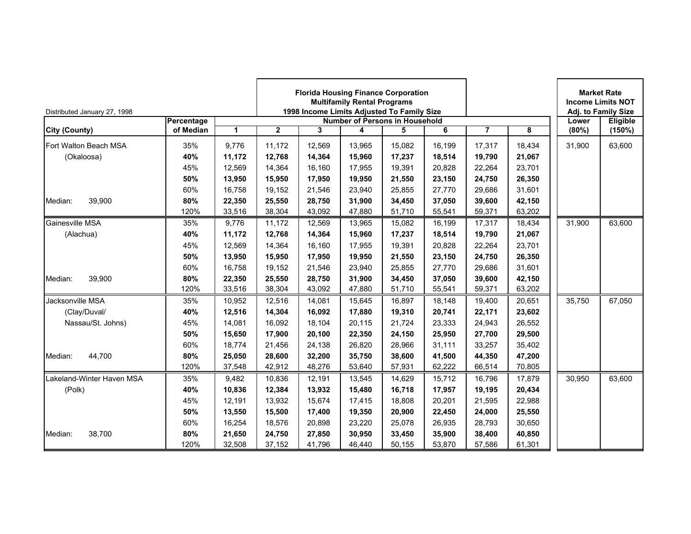| Distributed January 27, 1998 |            |        | <b>Florida Housing Finance Corporation</b><br><b>Multifamily Rental Programs</b><br>1998 Income Limits Adjusted To Family Size<br><b>Number of Persons in Household</b><br>$\mathbf{2}$<br>6<br>3<br>4<br>5 |        |        |        |        |                |        |        | <b>Market Rate</b><br><b>Income Limits NOT</b><br>Adj. to Family Size |
|------------------------------|------------|--------|-------------------------------------------------------------------------------------------------------------------------------------------------------------------------------------------------------------|--------|--------|--------|--------|----------------|--------|--------|-----------------------------------------------------------------------|
|                              | Percentage |        |                                                                                                                                                                                                             |        |        |        |        | $\overline{7}$ |        | Lower  | Eligible                                                              |
| <b>City (County)</b>         | of Median  | 1      |                                                                                                                                                                                                             |        |        |        |        |                | 8      | (80%)  | (150%)                                                                |
| Fort Walton Beach MSA        | 35%        | 9.776  | 11.172                                                                                                                                                                                                      | 12.569 | 13.965 | 15,082 | 16.199 | 17,317         | 18.434 | 31,900 | 63,600                                                                |
| (Okaloosa)                   | 40%        | 11,172 | 12,768                                                                                                                                                                                                      | 14,364 | 15,960 | 17,237 | 18,514 | 19,790         | 21,067 |        |                                                                       |
|                              | 45%        | 12,569 | 14,364                                                                                                                                                                                                      | 16,160 | 17,955 | 19,391 | 20,828 | 22,264         | 23,701 |        |                                                                       |
|                              | 50%        | 13,950 | 15,950                                                                                                                                                                                                      | 17,950 | 19,950 | 21,550 | 23,150 | 24,750         | 26,350 |        |                                                                       |
|                              | 60%        | 16,758 | 19,152                                                                                                                                                                                                      | 21,546 | 23,940 | 25,855 | 27,770 | 29,686         | 31,601 |        |                                                                       |
| 39,900<br>Median:            | 80%        | 22,350 | 25,550                                                                                                                                                                                                      | 28,750 | 31,900 | 34,450 | 37,050 | 39,600         | 42,150 |        |                                                                       |
|                              | 120%       | 33,516 | 38,304                                                                                                                                                                                                      | 43,092 | 47,880 | 51,710 | 55,541 | 59,371         | 63,202 |        |                                                                       |
| Gainesville MSA              | 35%        | 9.776  | 11,172                                                                                                                                                                                                      | 12,569 | 13,965 | 15,082 | 16,199 | 17,317         | 18,434 | 31,900 | 63,600                                                                |
| (Alachua)                    | 40%        | 11,172 | 12,768                                                                                                                                                                                                      | 14,364 | 15,960 | 17,237 | 18,514 | 19,790         | 21,067 |        |                                                                       |
|                              | 45%        | 12,569 | 14,364                                                                                                                                                                                                      | 16,160 | 17,955 | 19,391 | 20,828 | 22,264         | 23,701 |        |                                                                       |
|                              | 50%        | 13,950 | 15,950                                                                                                                                                                                                      | 17,950 | 19,950 | 21,550 | 23,150 | 24,750         | 26,350 |        |                                                                       |
|                              | 60%        | 16,758 | 19,152                                                                                                                                                                                                      | 21,546 | 23,940 | 25,855 | 27,770 | 29,686         | 31,601 |        |                                                                       |
| 39,900<br>Median:            | 80%        | 22,350 | 25,550                                                                                                                                                                                                      | 28,750 | 31,900 | 34,450 | 37.050 | 39,600         | 42,150 |        |                                                                       |
|                              | 120%       | 33,516 | 38,304                                                                                                                                                                                                      | 43,092 | 47,880 | 51,710 | 55,541 | 59,371         | 63,202 |        |                                                                       |
| Jacksonville MSA             | 35%        | 10,952 | 12,516                                                                                                                                                                                                      | 14,081 | 15,645 | 16,897 | 18,148 | 19,400         | 20,651 | 35,750 | 67,050                                                                |
| (Clay/Duval/                 | 40%        | 12,516 | 14,304                                                                                                                                                                                                      | 16,092 | 17,880 | 19,310 | 20,741 | 22,171         | 23,602 |        |                                                                       |
| Nassau/St. Johns)            | 45%        | 14,081 | 16,092                                                                                                                                                                                                      | 18,104 | 20,115 | 21,724 | 23,333 | 24,943         | 26,552 |        |                                                                       |
|                              | 50%        | 15,650 | 17,900                                                                                                                                                                                                      | 20,100 | 22,350 | 24,150 | 25,950 | 27,700         | 29,500 |        |                                                                       |
|                              | 60%        | 18,774 | 21,456                                                                                                                                                                                                      | 24,138 | 26,820 | 28,966 | 31,111 | 33,257         | 35,402 |        |                                                                       |
| 44,700<br>Median:            | 80%        | 25,050 | 28,600                                                                                                                                                                                                      | 32,200 | 35,750 | 38,600 | 41,500 | 44,350         | 47,200 |        |                                                                       |
|                              | 120%       | 37,548 | 42,912                                                                                                                                                                                                      | 48,276 | 53,640 | 57,931 | 62,222 | 66,514         | 70,805 |        |                                                                       |
| Lakeland-Winter Haven MSA    | 35%        | 9,482  | 10,836                                                                                                                                                                                                      | 12,191 | 13,545 | 14,629 | 15,712 | 16,796         | 17,879 | 30,950 | 63,600                                                                |
| (Polk)                       | 40%        | 10,836 | 12,384                                                                                                                                                                                                      | 13,932 | 15,480 | 16,718 | 17,957 | 19,195         | 20,434 |        |                                                                       |
|                              | 45%        | 12,191 | 13,932                                                                                                                                                                                                      | 15,674 | 17,415 | 18,808 | 20,201 | 21,595         | 22,988 |        |                                                                       |
|                              | 50%        | 13,550 | 15,500                                                                                                                                                                                                      | 17,400 | 19,350 | 20,900 | 22,450 | 24,000         | 25,550 |        |                                                                       |
|                              | 60%        | 16,254 | 18,576                                                                                                                                                                                                      | 20.898 | 23,220 | 25,078 | 26.935 | 28.793         | 30,650 |        |                                                                       |
| 38,700<br>Median:            | 80%        | 21,650 | 24,750                                                                                                                                                                                                      | 27,850 | 30,950 | 33,450 | 35,900 | 38,400         | 40,850 |        |                                                                       |
|                              | 120%       | 32,508 | 37,152                                                                                                                                                                                                      | 41,796 | 46,440 | 50,155 | 53,870 | 57,586         | 61,301 |        |                                                                       |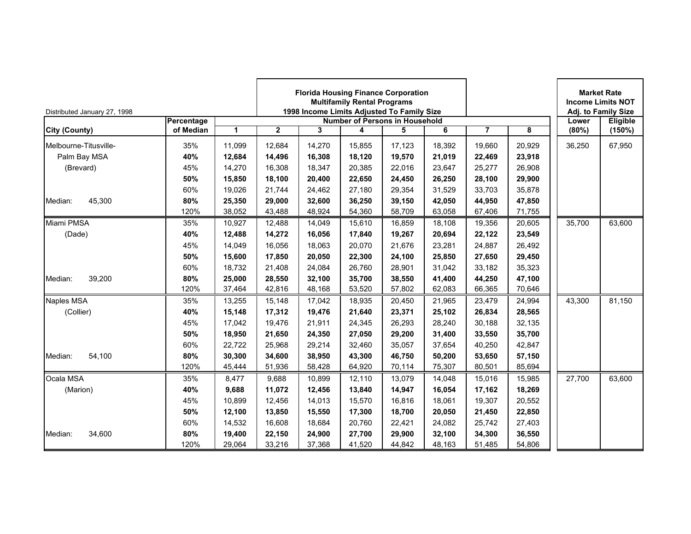| Distributed January 27, 1998 |            |        | <b>Florida Housing Finance Corporation</b><br><b>Multifamily Rental Programs</b><br>1998 Income Limits Adjusted To Family Size<br><b>Number of Persons in Household</b> |        |        |        |        |                |        | <b>Income Limits NOT</b> | <b>Market Rate</b><br>Adj. to Family Size |
|------------------------------|------------|--------|-------------------------------------------------------------------------------------------------------------------------------------------------------------------------|--------|--------|--------|--------|----------------|--------|--------------------------|-------------------------------------------|
|                              | Percentage |        |                                                                                                                                                                         |        |        |        |        |                |        | Lower                    | Eligible                                  |
| City (County)                | of Median  | 1      | $\overline{2}$                                                                                                                                                          | 3      | 4      | 5      | 6      | $\overline{7}$ | 8      | (80%)                    | (150%)                                    |
| Melbourne-Titusville-        | 35%        | 11,099 | 12,684                                                                                                                                                                  | 14,270 | 15,855 | 17,123 | 18,392 | 19,660         | 20,929 | 36,250                   | 67,950                                    |
| Palm Bay MSA                 | 40%        | 12,684 | 14,496                                                                                                                                                                  | 16,308 | 18,120 | 19,570 | 21,019 | 22,469         | 23,918 |                          |                                           |
| (Brevard)                    | 45%        | 14,270 | 16,308                                                                                                                                                                  | 18,347 | 20,385 | 22,016 | 23.647 | 25,277         | 26,908 |                          |                                           |
|                              | 50%        | 15,850 | 18,100                                                                                                                                                                  | 20,400 | 22,650 | 24,450 | 26,250 | 28,100         | 29,900 |                          |                                           |
|                              | 60%        | 19,026 | 21,744                                                                                                                                                                  | 24,462 | 27,180 | 29,354 | 31,529 | 33,703         | 35,878 |                          |                                           |
| 45,300<br>Median:            | 80%        | 25,350 | 29,000                                                                                                                                                                  | 32,600 | 36,250 | 39,150 | 42,050 | 44,950         | 47,850 |                          |                                           |
|                              | 120%       | 38,052 | 43,488                                                                                                                                                                  | 48,924 | 54,360 | 58,709 | 63,058 | 67,406         | 71,755 |                          |                                           |
| Miami PMSA                   | 35%        | 10,927 | 12,488                                                                                                                                                                  | 14,049 | 15,610 | 16,859 | 18,108 | 19,356         | 20,605 | 35,700                   | 63,600                                    |
| (Dade)                       | 40%        | 12,488 | 14,272                                                                                                                                                                  | 16,056 | 17,840 | 19,267 | 20,694 | 22,122         | 23,549 |                          |                                           |
|                              | 45%        | 14.049 | 16.056                                                                                                                                                                  | 18,063 | 20,070 | 21,676 | 23,281 | 24,887         | 26,492 |                          |                                           |
|                              | 50%        | 15,600 | 17,850                                                                                                                                                                  | 20,050 | 22,300 | 24,100 | 25,850 | 27,650         | 29,450 |                          |                                           |
|                              | 60%        | 18.732 | 21,408                                                                                                                                                                  | 24,084 | 26,760 | 28,901 | 31,042 | 33,182         | 35,323 |                          |                                           |
| 39,200<br>Median:            | 80%        | 25.000 | 28,550                                                                                                                                                                  | 32,100 | 35,700 | 38,550 | 41,400 | 44,250         | 47,100 |                          |                                           |
|                              | 120%       | 37,464 | 42,816                                                                                                                                                                  | 48,168 | 53,520 | 57,802 | 62,083 | 66,365         | 70,646 |                          |                                           |
| Naples MSA                   | 35%        | 13,255 | 15,148                                                                                                                                                                  | 17,042 | 18,935 | 20,450 | 21,965 | 23,479         | 24,994 | 43,300                   | 81,150                                    |
| (Collier)                    | 40%        | 15,148 | 17,312                                                                                                                                                                  | 19,476 | 21,640 | 23,371 | 25,102 | 26,834         | 28,565 |                          |                                           |
|                              | 45%        | 17,042 | 19,476                                                                                                                                                                  | 21,911 | 24,345 | 26,293 | 28,240 | 30,188         | 32,135 |                          |                                           |
|                              | 50%        | 18,950 | 21,650                                                                                                                                                                  | 24,350 | 27,050 | 29,200 | 31,400 | 33,550         | 35,700 |                          |                                           |
|                              | 60%        | 22,722 | 25,968                                                                                                                                                                  | 29,214 | 32,460 | 35,057 | 37,654 | 40.250         | 42,847 |                          |                                           |
| Median:<br>54,100            | 80%        | 30,300 | 34,600                                                                                                                                                                  | 38,950 | 43,300 | 46,750 | 50,200 | 53,650         | 57,150 |                          |                                           |
|                              | 120%       | 45,444 | 51,936                                                                                                                                                                  | 58,428 | 64,920 | 70,114 | 75,307 | 80,501         | 85,694 |                          |                                           |
| Ocala MSA                    | 35%        | 8,477  | 9,688                                                                                                                                                                   | 10,899 | 12,110 | 13,079 | 14.048 | 15,016         | 15,985 | 27,700                   | 63,600                                    |
| (Marion)                     | 40%        | 9.688  | 11,072                                                                                                                                                                  | 12,456 | 13,840 | 14,947 | 16.054 | 17,162         | 18,269 |                          |                                           |
|                              | 45%        | 10,899 | 12,456                                                                                                                                                                  | 14,013 | 15,570 | 16,816 | 18,061 | 19,307         | 20,552 |                          |                                           |
|                              | 50%        | 12,100 | 13,850                                                                                                                                                                  | 15,550 | 17,300 | 18,700 | 20,050 | 21,450         | 22,850 |                          |                                           |
|                              | 60%        | 14,532 | 16,608                                                                                                                                                                  | 18,684 | 20,760 | 22,421 | 24,082 | 25,742         | 27,403 |                          |                                           |
| Median:<br>34,600            | 80%        | 19,400 | 22,150                                                                                                                                                                  | 24,900 | 27,700 | 29,900 | 32,100 | 34,300         | 36,550 |                          |                                           |
|                              | 120%       | 29,064 | 33,216                                                                                                                                                                  | 37,368 | 41,520 | 44,842 | 48,163 | 51,485         | 54,806 |                          |                                           |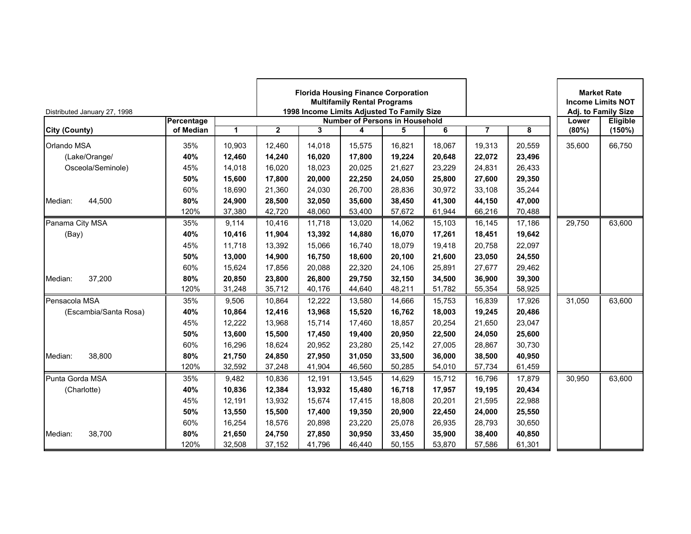| Distributed January 27, 1998 |            |        |              |        | <b>Multifamily Rental Programs</b> | <b>Florida Housing Finance Corporation</b><br>1998 Income Limits Adjusted To Family Size |        |                |        | <b>Market Rate</b><br><b>Income Limits NOT</b><br>Adj. to Family Size |          |
|------------------------------|------------|--------|--------------|--------|------------------------------------|------------------------------------------------------------------------------------------|--------|----------------|--------|-----------------------------------------------------------------------|----------|
|                              | Percentage |        |              |        |                                    | <b>Number of Persons in Household</b>                                                    |        |                |        | Lower                                                                 | Eligible |
| City (County)                | of Median  | 1      | $\mathbf{2}$ | 3      | 4                                  | 5                                                                                        | 6      | $\overline{7}$ | 8      | (80%)                                                                 | (150%)   |
| Orlando MSA                  | 35%        | 10.903 | 12.460       | 14,018 | 15,575                             | 16,821                                                                                   | 18.067 | 19,313         | 20,559 | 35,600                                                                | 66,750   |
| (Lake/Orange/                | 40%        | 12,460 | 14,240       | 16,020 | 17,800                             | 19,224                                                                                   | 20,648 | 22,072         | 23,496 |                                                                       |          |
| Osceola/Seminole)            | 45%        | 14,018 | 16,020       | 18,023 | 20,025                             | 21,627                                                                                   | 23,229 | 24,831         | 26,433 |                                                                       |          |
|                              | 50%        | 15,600 | 17,800       | 20,000 | 22,250                             | 24,050                                                                                   | 25,800 | 27,600         | 29,350 |                                                                       |          |
|                              | 60%        | 18.690 | 21,360       | 24,030 | 26,700                             | 28,836                                                                                   | 30.972 | 33,108         | 35,244 |                                                                       |          |
| 44,500<br>Median:            | 80%        | 24,900 | 28,500       | 32,050 | 35,600                             | 38,450                                                                                   | 41,300 | 44,150         | 47,000 |                                                                       |          |
|                              | 120%       | 37,380 | 42,720       | 48,060 | 53,400                             | 57,672                                                                                   | 61,944 | 66,216         | 70,488 |                                                                       |          |
| Panama City MSA              | 35%        | 9,114  | 10,416       | 11,718 | 13,020                             | 14,062                                                                                   | 15,103 | 16,145         | 17,186 | 29,750                                                                | 63,600   |
| (Bay)                        | 40%        | 10,416 | 11,904       | 13,392 | 14,880                             | 16,070                                                                                   | 17,261 | 18,451         | 19,642 |                                                                       |          |
|                              | 45%        | 11,718 | 13,392       | 15,066 | 16,740                             | 18,079                                                                                   | 19,418 | 20,758         | 22,097 |                                                                       |          |
|                              | 50%        | 13,000 | 14,900       | 16,750 | 18,600                             | 20,100                                                                                   | 21,600 | 23,050         | 24,550 |                                                                       |          |
|                              | 60%        | 15.624 | 17,856       | 20,088 | 22,320                             | 24,106                                                                                   | 25,891 | 27,677         | 29,462 |                                                                       |          |
| 37,200<br>Median:            | 80%        | 20.850 | 23,800       | 26,800 | 29,750                             | 32,150                                                                                   | 34.500 | 36,900         | 39,300 |                                                                       |          |
|                              | 120%       | 31,248 | 35,712       | 40,176 | 44,640                             | 48,211                                                                                   | 51,782 | 55,354         | 58,925 |                                                                       |          |
| Pensacola MSA                | 35%        | 9,506  | 10,864       | 12,222 | 13,580                             | 14,666                                                                                   | 15,753 | 16,839         | 17,926 | 31,050                                                                | 63,600   |
| (Escambia/Santa Rosa)        | 40%        | 10,864 | 12,416       | 13,968 | 15,520                             | 16,762                                                                                   | 18,003 | 19,245         | 20,486 |                                                                       |          |
|                              | 45%        | 12,222 | 13,968       | 15,714 | 17,460                             | 18,857                                                                                   | 20,254 | 21,650         | 23,047 |                                                                       |          |
|                              | 50%        | 13,600 | 15,500       | 17,450 | 19,400                             | 20,950                                                                                   | 22,500 | 24,050         | 25,600 |                                                                       |          |
|                              | 60%        | 16,296 | 18,624       | 20,952 | 23,280                             | 25,142                                                                                   | 27,005 | 28,867         | 30,730 |                                                                       |          |
| 38,800<br>Median:            | 80%        | 21,750 | 24,850       | 27,950 | 31,050                             | 33,500                                                                                   | 36,000 | 38,500         | 40,950 |                                                                       |          |
|                              | 120%       | 32,592 | 37,248       | 41,904 | 46,560                             | 50,285                                                                                   | 54,010 | 57,734         | 61,459 |                                                                       |          |
| Punta Gorda MSA              | 35%        | 9,482  | 10,836       | 12,191 | 13,545                             | 14,629                                                                                   | 15,712 | 16,796         | 17,879 | 30,950                                                                | 63,600   |
| (Charlotte)                  | 40%        | 10,836 | 12,384       | 13,932 | 15,480                             | 16,718                                                                                   | 17,957 | 19,195         | 20,434 |                                                                       |          |
|                              | 45%        | 12,191 | 13,932       | 15,674 | 17,415                             | 18,808                                                                                   | 20,201 | 21,595         | 22,988 |                                                                       |          |
|                              | 50%        | 13,550 | 15,500       | 17,400 | 19,350                             | 20,900                                                                                   | 22,450 | 24,000         | 25,550 |                                                                       |          |
|                              | 60%        | 16,254 | 18,576       | 20,898 | 23,220                             | 25,078                                                                                   | 26.935 | 28.793         | 30,650 |                                                                       |          |
| 38,700<br>Median:            | 80%        | 21,650 | 24,750       | 27,850 | 30,950                             | 33,450                                                                                   | 35,900 | 38,400         | 40,850 |                                                                       |          |
|                              | 120%       | 32,508 | 37,152       | 41,796 | 46,440                             | 50,155                                                                                   | 53,870 | 57,586         | 61,301 |                                                                       |          |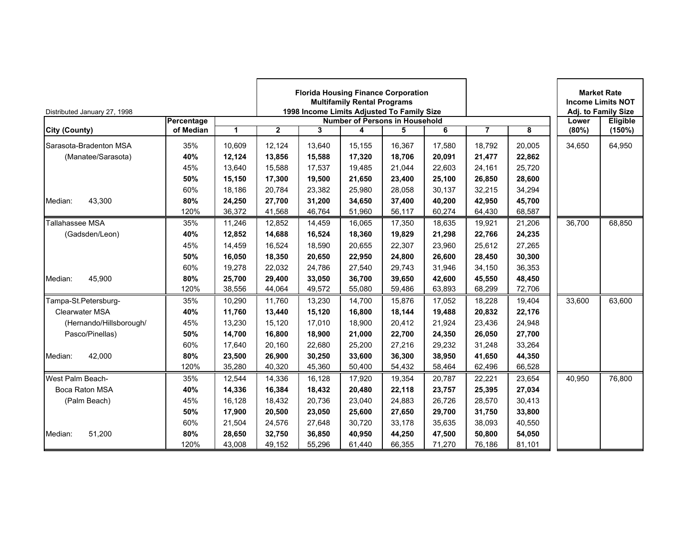| Distributed January 27, 1998 |            |        | <b>Florida Housing Finance Corporation</b><br><b>Multifamily Rental Programs</b><br>1998 Income Limits Adjusted To Family Size<br><b>Number of Persons in Household</b><br>$\mathbf{2}$<br>6<br>3<br>4<br>5 |        |        |        |        |                |        |        | <b>Market Rate</b><br><b>Income Limits NOT</b><br>Adj. to Family Size |
|------------------------------|------------|--------|-------------------------------------------------------------------------------------------------------------------------------------------------------------------------------------------------------------|--------|--------|--------|--------|----------------|--------|--------|-----------------------------------------------------------------------|
|                              | Percentage | 1      |                                                                                                                                                                                                             |        |        |        |        | $\overline{7}$ | 8      | Lower  | Eligible                                                              |
| <b>City (County)</b>         | of Median  |        |                                                                                                                                                                                                             |        |        |        |        |                |        | (80%)  | (150%)                                                                |
| Sarasota-Bradenton MSA       | 35%        | 10.609 | 12.124                                                                                                                                                                                                      | 13.640 | 15.155 | 16.367 | 17.580 | 18.792         | 20.005 | 34,650 | 64,950                                                                |
| (Manatee/Sarasota)           | 40%        | 12,124 | 13,856                                                                                                                                                                                                      | 15,588 | 17,320 | 18,706 | 20,091 | 21,477         | 22,862 |        |                                                                       |
|                              | 45%        | 13,640 | 15,588                                                                                                                                                                                                      | 17,537 | 19,485 | 21,044 | 22,603 | 24,161         | 25,720 |        |                                                                       |
|                              | 50%        | 15,150 | 17,300                                                                                                                                                                                                      | 19,500 | 21,650 | 23,400 | 25,100 | 26,850         | 28,600 |        |                                                                       |
|                              | 60%        | 18,186 | 20,784                                                                                                                                                                                                      | 23,382 | 25,980 | 28,058 | 30,137 | 32,215         | 34,294 |        |                                                                       |
| 43,300<br>Median:            | 80%        | 24,250 | 27,700                                                                                                                                                                                                      | 31,200 | 34,650 | 37,400 | 40,200 | 42,950         | 45,700 |        |                                                                       |
|                              | 120%       | 36,372 | 41,568                                                                                                                                                                                                      | 46,764 | 51,960 | 56,117 | 60,274 | 64,430         | 68,587 |        |                                                                       |
| Tallahassee MSA              | 35%        | 11,246 | 12,852                                                                                                                                                                                                      | 14,459 | 16,065 | 17,350 | 18,635 | 19,921         | 21,206 | 36,700 | 68,850                                                                |
| (Gadsden/Leon)               | 40%        | 12,852 | 14,688                                                                                                                                                                                                      | 16,524 | 18,360 | 19,829 | 21,298 | 22,766         | 24,235 |        |                                                                       |
|                              | 45%        | 14,459 | 16,524                                                                                                                                                                                                      | 18,590 | 20,655 | 22,307 | 23,960 | 25,612         | 27,265 |        |                                                                       |
|                              | 50%        | 16,050 | 18,350                                                                                                                                                                                                      | 20,650 | 22,950 | 24,800 | 26,600 | 28,450         | 30,300 |        |                                                                       |
|                              | 60%        | 19,278 | 22,032                                                                                                                                                                                                      | 24,786 | 27,540 | 29,743 | 31,946 | 34,150         | 36,353 |        |                                                                       |
| 45,900<br>Median:            | 80%        | 25,700 | 29,400                                                                                                                                                                                                      | 33,050 | 36,700 | 39,650 | 42.600 | 45,550         | 48,450 |        |                                                                       |
|                              | 120%       | 38,556 | 44,064                                                                                                                                                                                                      | 49,572 | 55,080 | 59,486 | 63,893 | 68,299         | 72,706 |        |                                                                       |
| Tampa-St.Petersburg-         | 35%        | 10,290 | 11,760                                                                                                                                                                                                      | 13,230 | 14,700 | 15,876 | 17,052 | 18,228         | 19,404 | 33,600 | 63,600                                                                |
| <b>Clearwater MSA</b>        | 40%        | 11,760 | 13,440                                                                                                                                                                                                      | 15,120 | 16,800 | 18,144 | 19,488 | 20,832         | 22,176 |        |                                                                       |
| (Hernando/Hillsborough/      | 45%        | 13,230 | 15,120                                                                                                                                                                                                      | 17,010 | 18,900 | 20,412 | 21,924 | 23,436         | 24,948 |        |                                                                       |
| Pasco/Pinellas)              | 50%        | 14,700 | 16,800                                                                                                                                                                                                      | 18,900 | 21,000 | 22,700 | 24,350 | 26,050         | 27,700 |        |                                                                       |
|                              | 60%        | 17,640 | 20,160                                                                                                                                                                                                      | 22,680 | 25,200 | 27,216 | 29,232 | 31,248         | 33,264 |        |                                                                       |
| 42,000<br>Median:            | 80%        | 23,500 | 26,900                                                                                                                                                                                                      | 30,250 | 33,600 | 36,300 | 38,950 | 41,650         | 44,350 |        |                                                                       |
|                              | 120%       | 35,280 | 40,320                                                                                                                                                                                                      | 45,360 | 50,400 | 54,432 | 58,464 | 62,496         | 66,528 |        |                                                                       |
| West Palm Beach-             | 35%        | 12,544 | 14,336                                                                                                                                                                                                      | 16,128 | 17,920 | 19,354 | 20,787 | 22,221         | 23,654 | 40,950 | 76,800                                                                |
| Boca Raton MSA               | 40%        | 14,336 | 16,384                                                                                                                                                                                                      | 18,432 | 20,480 | 22,118 | 23,757 | 25,395         | 27,034 |        |                                                                       |
| (Palm Beach)                 | 45%        | 16,128 | 18,432                                                                                                                                                                                                      | 20,736 | 23,040 | 24,883 | 26.726 | 28,570         | 30,413 |        |                                                                       |
|                              | 50%        | 17,900 | 20,500                                                                                                                                                                                                      | 23,050 | 25,600 | 27,650 | 29,700 | 31,750         | 33,800 |        |                                                                       |
|                              | 60%        | 21.504 | 24.576                                                                                                                                                                                                      | 27.648 | 30,720 | 33,178 | 35.635 | 38,093         | 40,550 |        |                                                                       |
| 51,200<br>Median:            | 80%        | 28,650 | 32,750                                                                                                                                                                                                      | 36,850 | 40,950 | 44,250 | 47,500 | 50,800         | 54,050 |        |                                                                       |
|                              | 120%       | 43,008 | 49,152                                                                                                                                                                                                      | 55,296 | 61,440 | 66,355 | 71,270 | 76,186         | 81,101 |        |                                                                       |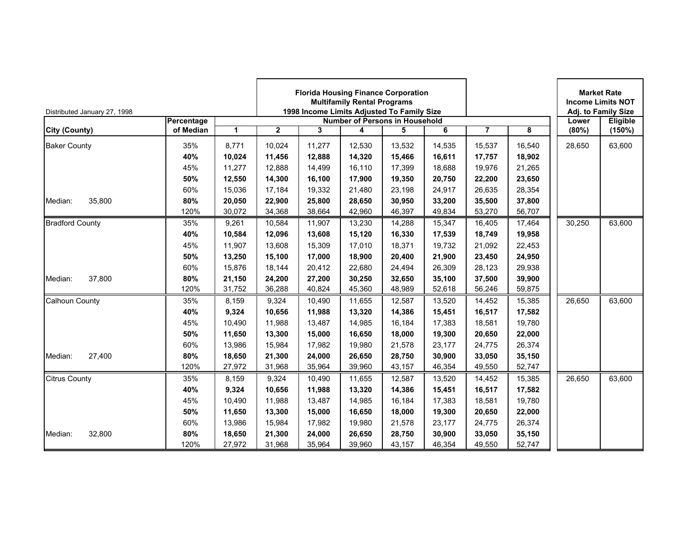| Distributed January 27, 1998 |            |        |              |        | <b>Multifamily Rental Programs</b> | <b>Florida Housing Finance Corporation</b><br>1998 Income Limits Adjusted To Family Size |        |                |        |        | <b>Market Rate</b><br><b>Income Limits NOT</b><br>Adj. to Family Size |
|------------------------------|------------|--------|--------------|--------|------------------------------------|------------------------------------------------------------------------------------------|--------|----------------|--------|--------|-----------------------------------------------------------------------|
|                              | Percentage |        |              |        |                                    | <b>Number of Persons in Household</b>                                                    |        |                |        | Lower  | Eligible                                                              |
| <b>City (County)</b>         | of Median  | 1      | $\mathbf{2}$ | 3      | 4                                  | 5                                                                                        | 6      | $\overline{7}$ | 8      | (80%)  | (150%)                                                                |
| <b>Baker County</b>          | 35%        | 8.771  | 10.024       | 11,277 | 12,530                             | 13,532                                                                                   | 14,535 | 15,537         | 16,540 | 28,650 | 63,600                                                                |
|                              | 40%        | 10,024 | 11,456       | 12,888 | 14,320                             | 15,466                                                                                   | 16,611 | 17,757         | 18,902 |        |                                                                       |
|                              | 45%        | 11,277 | 12,888       | 14,499 | 16,110                             | 17,399                                                                                   | 18,688 | 19,976         | 21,265 |        |                                                                       |
|                              | 50%        | 12,550 | 14,300       | 16,100 | 17,900                             | 19,350                                                                                   | 20,750 | 22,200         | 23,650 |        |                                                                       |
|                              | 60%        | 15,036 | 17,184       | 19,332 | 21,480                             | 23,198                                                                                   | 24,917 | 26,635         | 28,354 |        |                                                                       |
| 35,800<br>Median:            | 80%        | 20,050 | 22,900       | 25,800 | 28,650                             | 30,950                                                                                   | 33,200 | 35,500         | 37,800 |        |                                                                       |
|                              | 120%       | 30,072 | 34,368       | 38,664 | 42,960                             | 46,397                                                                                   | 49,834 | 53,270         | 56,707 |        |                                                                       |
| <b>Bradford County</b>       | 35%        | 9,261  | 10,584       | 11,907 | 13,230                             | 14,288                                                                                   | 15,347 | 16,405         | 17,464 | 30,250 | 63,600                                                                |
|                              | 40%        | 10,584 | 12,096       | 13,608 | 15,120                             | 16,330                                                                                   | 17,539 | 18,749         | 19,958 |        |                                                                       |
|                              | 45%        | 11,907 | 13,608       | 15,309 | 17,010                             | 18,371                                                                                   | 19,732 | 21,092         | 22,453 |        |                                                                       |
|                              | 50%        | 13,250 | 15,100       | 17,000 | 18,900                             | 20,400                                                                                   | 21,900 | 23,450         | 24,950 |        |                                                                       |
|                              | 60%        | 15,876 | 18,144       | 20,412 | 22,680                             | 24,494                                                                                   | 26,309 | 28,123         | 29,938 |        |                                                                       |
| 37,800<br>Median:            | 80%        | 21.150 | 24,200       | 27,200 | 30,250                             | 32,650                                                                                   | 35.100 | 37,500         | 39,900 |        |                                                                       |
|                              | 120%       | 31,752 | 36,288       | 40,824 | 45,360                             | 48,989                                                                                   | 52,618 | 56,246         | 59,875 |        |                                                                       |
| <b>Calhoun County</b>        | 35%        | 8,159  | 9,324        | 10,490 | 11,655                             | 12,587                                                                                   | 13,520 | 14,452         | 15,385 | 26,650 | 63,600                                                                |
|                              | 40%        | 9,324  | 10,656       | 11,988 | 13,320                             | 14,386                                                                                   | 15,451 | 16,517         | 17,582 |        |                                                                       |
|                              | 45%        | 10,490 | 11,988       | 13,487 | 14,985                             | 16,184                                                                                   | 17,383 | 18,581         | 19,780 |        |                                                                       |
|                              | 50%        | 11,650 | 13,300       | 15,000 | 16,650                             | 18,000                                                                                   | 19,300 | 20,650         | 22,000 |        |                                                                       |
|                              | 60%        | 13,986 | 15,984       | 17,982 | 19,980                             | 21,578                                                                                   | 23,177 | 24,775         | 26,374 |        |                                                                       |
| 27,400<br>Median:            | 80%        | 18,650 | 21,300       | 24,000 | 26,650                             | 28,750                                                                                   | 30,900 | 33,050         | 35,150 |        |                                                                       |
|                              | 120%       | 27,972 | 31,968       | 35,964 | 39,960                             | 43,157                                                                                   | 46,354 | 49,550         | 52,747 |        |                                                                       |
| <b>Citrus County</b>         | 35%        | 8,159  | 9,324        | 10,490 | 11,655                             | 12,587                                                                                   | 13,520 | 14,452         | 15,385 | 26,650 | 63,600                                                                |
|                              | 40%        | 9,324  | 10,656       | 11,988 | 13,320                             | 14,386                                                                                   | 15,451 | 16,517         | 17,582 |        |                                                                       |
|                              | 45%        | 10.490 | 11,988       | 13,487 | 14,985                             | 16,184                                                                                   | 17,383 | 18,581         | 19,780 |        |                                                                       |
|                              | 50%        | 11,650 | 13,300       | 15,000 | 16,650                             | 18,000                                                                                   | 19,300 | 20,650         | 22,000 |        |                                                                       |
|                              | 60%        | 13.986 | 15,984       | 17,982 | 19,980                             | 21,578                                                                                   | 23.177 | 24,775         | 26,374 |        |                                                                       |
| 32,800<br>Median:            | 80%        | 18,650 | 21,300       | 24,000 | 26,650                             | 28,750                                                                                   | 30,900 | 33,050         | 35,150 |        |                                                                       |
|                              | 120%       | 27,972 | 31,968       | 35,964 | 39,960                             | 43,157                                                                                   | 46,354 | 49,550         | 52,747 |        |                                                                       |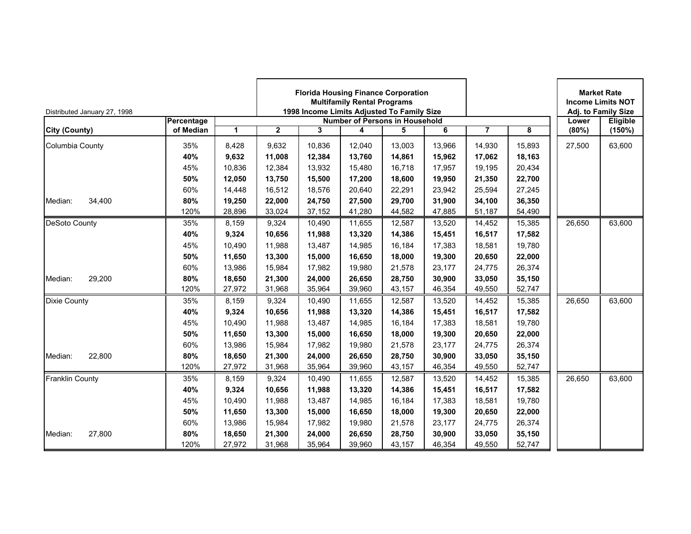| Distributed January 27, 1998 |            |        | <b>Florida Housing Finance Corporation</b><br><b>Multifamily Rental Programs</b><br>1998 Income Limits Adjusted To Family Size<br><b>Number of Persons in Household</b><br>$\mathbf{2}$<br>6<br>3<br>4<br>5 |        |        |        |        |                |        |        | <b>Market Rate</b><br><b>Income Limits NOT</b><br>Adj. to Family Size |
|------------------------------|------------|--------|-------------------------------------------------------------------------------------------------------------------------------------------------------------------------------------------------------------|--------|--------|--------|--------|----------------|--------|--------|-----------------------------------------------------------------------|
|                              | Percentage |        |                                                                                                                                                                                                             |        |        |        |        | $\overline{7}$ |        | Lower  | Eligible                                                              |
| City (County)                | of Median  | 1      |                                                                                                                                                                                                             |        |        |        |        |                | 8      | (80%)  | (150%)                                                                |
| Columbia County              | 35%        | 8.428  | 9,632                                                                                                                                                                                                       | 10.836 | 12.040 | 13,003 | 13.966 | 14,930         | 15.893 | 27,500 | 63,600                                                                |
|                              | 40%        | 9,632  | 11,008                                                                                                                                                                                                      | 12,384 | 13,760 | 14,861 | 15,962 | 17,062         | 18,163 |        |                                                                       |
|                              | 45%        | 10,836 | 12,384                                                                                                                                                                                                      | 13,932 | 15,480 | 16,718 | 17,957 | 19,195         | 20,434 |        |                                                                       |
|                              | 50%        | 12,050 | 13,750                                                                                                                                                                                                      | 15,500 | 17,200 | 18,600 | 19,950 | 21,350         | 22,700 |        |                                                                       |
|                              | 60%        | 14,448 | 16,512                                                                                                                                                                                                      | 18,576 | 20,640 | 22,291 | 23,942 | 25,594         | 27,245 |        |                                                                       |
| Median:<br>34,400            | 80%        | 19,250 | 22,000                                                                                                                                                                                                      | 24,750 | 27,500 | 29,700 | 31,900 | 34,100         | 36,350 |        |                                                                       |
|                              | 120%       | 28,896 | 33,024                                                                                                                                                                                                      | 37,152 | 41,280 | 44,582 | 47,885 | 51,187         | 54,490 |        |                                                                       |
| DeSoto County                | 35%        | 8,159  | 9,324                                                                                                                                                                                                       | 10,490 | 11,655 | 12,587 | 13,520 | 14,452         | 15,385 | 26,650 | 63,600                                                                |
|                              | 40%        | 9,324  | 10,656                                                                                                                                                                                                      | 11,988 | 13,320 | 14,386 | 15,451 | 16,517         | 17,582 |        |                                                                       |
|                              | 45%        | 10,490 | 11,988                                                                                                                                                                                                      | 13,487 | 14,985 | 16,184 | 17,383 | 18,581         | 19,780 |        |                                                                       |
|                              | 50%        | 11,650 | 13,300                                                                                                                                                                                                      | 15,000 | 16,650 | 18,000 | 19,300 | 20,650         | 22,000 |        |                                                                       |
|                              | 60%        | 13,986 | 15,984                                                                                                                                                                                                      | 17,982 | 19,980 | 21,578 | 23,177 | 24,775         | 26,374 |        |                                                                       |
| 29,200<br>Median:            | 80%        | 18.650 | 21,300                                                                                                                                                                                                      | 24,000 | 26,650 | 28,750 | 30.900 | 33,050         | 35,150 |        |                                                                       |
|                              | 120%       | 27,972 | 31,968                                                                                                                                                                                                      | 35,964 | 39,960 | 43,157 | 46,354 | 49,550         | 52,747 |        |                                                                       |
| <b>Dixie County</b>          | 35%        | 8,159  | 9,324                                                                                                                                                                                                       | 10,490 | 11,655 | 12,587 | 13,520 | 14,452         | 15,385 | 26,650 | 63,600                                                                |
|                              | 40%        | 9,324  | 10,656                                                                                                                                                                                                      | 11,988 | 13,320 | 14,386 | 15,451 | 16,517         | 17,582 |        |                                                                       |
|                              | 45%        | 10,490 | 11,988                                                                                                                                                                                                      | 13,487 | 14,985 | 16,184 | 17,383 | 18,581         | 19,780 |        |                                                                       |
|                              | 50%        | 11,650 | 13,300                                                                                                                                                                                                      | 15,000 | 16,650 | 18,000 | 19,300 | 20,650         | 22,000 |        |                                                                       |
|                              | 60%        | 13,986 | 15,984                                                                                                                                                                                                      | 17,982 | 19,980 | 21,578 | 23,177 | 24,775         | 26,374 |        |                                                                       |
| 22,800<br>Median:            | 80%        | 18,650 | 21,300                                                                                                                                                                                                      | 24,000 | 26,650 | 28,750 | 30,900 | 33,050         | 35,150 |        |                                                                       |
|                              | 120%       | 27,972 | 31,968                                                                                                                                                                                                      | 35,964 | 39,960 | 43,157 | 46,354 | 49,550         | 52,747 |        |                                                                       |
| <b>Franklin County</b>       | 35%        | 8,159  | 9,324                                                                                                                                                                                                       | 10,490 | 11,655 | 12,587 | 13,520 | 14,452         | 15,385 | 26,650 | 63,600                                                                |
|                              | 40%        | 9,324  | 10,656                                                                                                                                                                                                      | 11,988 | 13,320 | 14,386 | 15,451 | 16,517         | 17,582 |        |                                                                       |
|                              | 45%        | 10.490 | 11,988                                                                                                                                                                                                      | 13,487 | 14,985 | 16,184 | 17,383 | 18,581         | 19,780 |        |                                                                       |
|                              | 50%        | 11,650 | 13,300                                                                                                                                                                                                      | 15,000 | 16,650 | 18,000 | 19,300 | 20,650         | 22,000 |        |                                                                       |
|                              | 60%        | 13.986 | 15,984                                                                                                                                                                                                      | 17,982 | 19,980 | 21,578 | 23.177 | 24,775         | 26,374 |        |                                                                       |
| 27,800<br>Median:            | 80%        | 18,650 | 21,300                                                                                                                                                                                                      | 24,000 | 26,650 | 28,750 | 30,900 | 33,050         | 35,150 |        |                                                                       |
|                              | 120%       | 27,972 | 31,968                                                                                                                                                                                                      | 35,964 | 39,960 | 43,157 | 46,354 | 49,550         | 52,747 |        |                                                                       |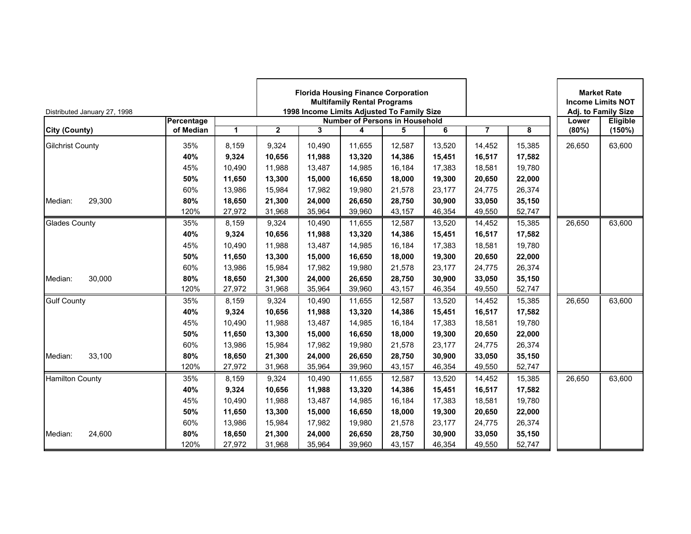| Distributed January 27, 1998 |            |        | <b>Florida Housing Finance Corporation</b><br><b>Multifamily Rental Programs</b><br>1998 Income Limits Adjusted To Family Size<br><b>Number of Persons in Household</b><br>$\overline{2}$<br>3<br>6<br>4<br>5 |        |        |        |        |                |        |        | <b>Market Rate</b><br><b>Income Limits NOT</b><br>Adj. to Family Size |
|------------------------------|------------|--------|---------------------------------------------------------------------------------------------------------------------------------------------------------------------------------------------------------------|--------|--------|--------|--------|----------------|--------|--------|-----------------------------------------------------------------------|
|                              | Percentage |        |                                                                                                                                                                                                               |        |        |        |        |                |        | Lower  | Eligible                                                              |
| <b>City (County)</b>         | of Median  | 1      |                                                                                                                                                                                                               |        |        |        |        | $\overline{7}$ | 8      | (80%)  | (150%)                                                                |
| <b>Gilchrist County</b>      | 35%        | 8.159  | 9,324                                                                                                                                                                                                         | 10.490 | 11.655 | 12,587 | 13,520 | 14,452         | 15,385 | 26,650 | 63,600                                                                |
|                              | 40%        | 9,324  | 10,656                                                                                                                                                                                                        | 11,988 | 13,320 | 14,386 | 15,451 | 16,517         | 17,582 |        |                                                                       |
|                              | 45%        | 10,490 | 11,988                                                                                                                                                                                                        | 13,487 | 14,985 | 16,184 | 17,383 | 18,581         | 19,780 |        |                                                                       |
|                              | 50%        | 11,650 | 13,300                                                                                                                                                                                                        | 15,000 | 16,650 | 18,000 | 19,300 | 20,650         | 22,000 |        |                                                                       |
|                              | 60%        | 13,986 | 15,984                                                                                                                                                                                                        | 17,982 | 19,980 | 21,578 | 23,177 | 24,775         | 26,374 |        |                                                                       |
| 29,300<br>Median:            | 80%        | 18,650 | 21,300                                                                                                                                                                                                        | 24,000 | 26,650 | 28,750 | 30,900 | 33,050         | 35,150 |        |                                                                       |
|                              | 120%       | 27,972 | 31,968                                                                                                                                                                                                        | 35,964 | 39,960 | 43,157 | 46,354 | 49,550         | 52,747 |        |                                                                       |
| <b>Glades County</b>         | 35%        | 8,159  | 9,324                                                                                                                                                                                                         | 10,490 | 11,655 | 12,587 | 13,520 | 14,452         | 15,385 | 26,650 | 63,600                                                                |
|                              | 40%        | 9,324  | 10,656                                                                                                                                                                                                        | 11,988 | 13,320 | 14,386 | 15,451 | 16,517         | 17,582 |        |                                                                       |
|                              | 45%        | 10,490 | 11,988                                                                                                                                                                                                        | 13,487 | 14,985 | 16,184 | 17,383 | 18,581         | 19,780 |        |                                                                       |
|                              | 50%        | 11,650 | 13,300                                                                                                                                                                                                        | 15,000 | 16,650 | 18,000 | 19,300 | 20,650         | 22,000 |        |                                                                       |
|                              | 60%        | 13,986 | 15,984                                                                                                                                                                                                        | 17,982 | 19,980 | 21,578 | 23,177 | 24,775         | 26,374 |        |                                                                       |
| 30,000<br>Median:            | 80%        | 18,650 | 21,300                                                                                                                                                                                                        | 24,000 | 26,650 | 28,750 | 30,900 | 33,050         | 35,150 |        |                                                                       |
|                              | 120%       | 27,972 | 31,968                                                                                                                                                                                                        | 35,964 | 39,960 | 43,157 | 46,354 | 49,550         | 52,747 |        |                                                                       |
| <b>Gulf County</b>           | 35%        | 8,159  | 9,324                                                                                                                                                                                                         | 10,490 | 11,655 | 12,587 | 13,520 | 14,452         | 15,385 | 26,650 | 63,600                                                                |
|                              | 40%        | 9,324  | 10,656                                                                                                                                                                                                        | 11,988 | 13,320 | 14,386 | 15,451 | 16,517         | 17,582 |        |                                                                       |
|                              | 45%        | 10,490 | 11,988                                                                                                                                                                                                        | 13,487 | 14,985 | 16,184 | 17,383 | 18,581         | 19,780 |        |                                                                       |
|                              | 50%        | 11,650 | 13,300                                                                                                                                                                                                        | 15,000 | 16,650 | 18,000 | 19,300 | 20,650         | 22,000 |        |                                                                       |
|                              | 60%        | 13,986 | 15,984                                                                                                                                                                                                        | 17,982 | 19,980 | 21,578 | 23,177 | 24,775         | 26,374 |        |                                                                       |
| 33,100<br>Median:            | 80%        | 18,650 | 21,300                                                                                                                                                                                                        | 24,000 | 26,650 | 28,750 | 30,900 | 33,050         | 35,150 |        |                                                                       |
|                              | 120%       | 27,972 | 31,968                                                                                                                                                                                                        | 35,964 | 39,960 | 43,157 | 46,354 | 49,550         | 52,747 |        |                                                                       |
| <b>Hamilton County</b>       | 35%        | 8,159  | 9,324                                                                                                                                                                                                         | 10,490 | 11,655 | 12,587 | 13,520 | 14,452         | 15,385 | 26,650 | 63,600                                                                |
|                              | 40%        | 9,324  | 10,656                                                                                                                                                                                                        | 11,988 | 13,320 | 14,386 | 15,451 | 16,517         | 17,582 |        |                                                                       |
|                              | 45%        | 10,490 | 11,988                                                                                                                                                                                                        | 13,487 | 14,985 | 16,184 | 17,383 | 18,581         | 19,780 |        |                                                                       |
|                              | 50%        | 11,650 | 13,300                                                                                                                                                                                                        | 15,000 | 16,650 | 18,000 | 19,300 | 20,650         | 22,000 |        |                                                                       |
|                              | 60%        | 13.986 | 15,984                                                                                                                                                                                                        | 17,982 | 19,980 | 21,578 | 23.177 | 24,775         | 26,374 |        |                                                                       |
| 24,600<br>Median:            | 80%        | 18,650 | 21,300                                                                                                                                                                                                        | 24,000 | 26,650 | 28,750 | 30,900 | 33,050         | 35,150 |        |                                                                       |
|                              | 120%       | 27,972 | 31,968                                                                                                                                                                                                        | 35,964 | 39,960 | 43,157 | 46,354 | 49,550         | 52,747 |        |                                                                       |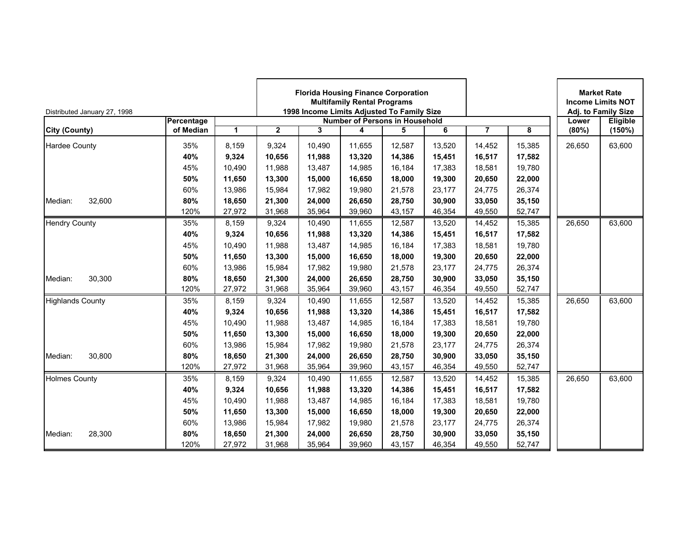| Distributed January 27, 1998 |            |        | <b>Florida Housing Finance Corporation</b><br><b>Multifamily Rental Programs</b><br>1998 Income Limits Adjusted To Family Size<br><b>Number of Persons in Household</b><br>$\overline{2}$<br>6<br>3<br>4<br>5 |        |        |        |        |                |        |        | <b>Market Rate</b><br><b>Income Limits NOT</b><br>Adj. to Family Size |
|------------------------------|------------|--------|---------------------------------------------------------------------------------------------------------------------------------------------------------------------------------------------------------------|--------|--------|--------|--------|----------------|--------|--------|-----------------------------------------------------------------------|
|                              | Percentage |        |                                                                                                                                                                                                               |        |        |        |        |                |        | Lower  | Eligible                                                              |
| <b>City (County)</b>         | of Median  | 1      |                                                                                                                                                                                                               |        |        |        |        | $\overline{7}$ | 8      | (80%)  | (150%)                                                                |
| <b>Hardee County</b>         | 35%        | 8.159  | 9,324                                                                                                                                                                                                         | 10.490 | 11.655 | 12,587 | 13,520 | 14,452         | 15,385 | 26,650 | 63,600                                                                |
|                              | 40%        | 9,324  | 10,656                                                                                                                                                                                                        | 11,988 | 13,320 | 14,386 | 15,451 | 16,517         | 17,582 |        |                                                                       |
|                              | 45%        | 10,490 | 11,988                                                                                                                                                                                                        | 13,487 | 14,985 | 16,184 | 17,383 | 18,581         | 19,780 |        |                                                                       |
|                              | 50%        | 11,650 | 13,300                                                                                                                                                                                                        | 15,000 | 16,650 | 18,000 | 19,300 | 20,650         | 22,000 |        |                                                                       |
|                              | 60%        | 13,986 | 15,984                                                                                                                                                                                                        | 17,982 | 19,980 | 21,578 | 23,177 | 24,775         | 26,374 |        |                                                                       |
| 32,600<br>Median:            | 80%        | 18,650 | 21,300                                                                                                                                                                                                        | 24,000 | 26,650 | 28,750 | 30,900 | 33,050         | 35,150 |        |                                                                       |
|                              | 120%       | 27,972 | 31,968                                                                                                                                                                                                        | 35,964 | 39,960 | 43,157 | 46,354 | 49,550         | 52,747 |        |                                                                       |
| <b>Hendry County</b>         | 35%        | 8,159  | 9,324                                                                                                                                                                                                         | 10,490 | 11,655 | 12,587 | 13,520 | 14,452         | 15,385 | 26,650 | 63,600                                                                |
|                              | 40%        | 9,324  | 10,656                                                                                                                                                                                                        | 11,988 | 13,320 | 14,386 | 15,451 | 16,517         | 17,582 |        |                                                                       |
|                              | 45%        | 10,490 | 11,988                                                                                                                                                                                                        | 13,487 | 14,985 | 16,184 | 17,383 | 18,581         | 19,780 |        |                                                                       |
|                              | 50%        | 11,650 | 13,300                                                                                                                                                                                                        | 15,000 | 16,650 | 18,000 | 19,300 | 20,650         | 22,000 |        |                                                                       |
|                              | 60%        | 13,986 | 15,984                                                                                                                                                                                                        | 17,982 | 19,980 | 21,578 | 23,177 | 24,775         | 26,374 |        |                                                                       |
| 30,300<br>Median:            | 80%        | 18,650 | 21,300                                                                                                                                                                                                        | 24,000 | 26,650 | 28,750 | 30.900 | 33,050         | 35,150 |        |                                                                       |
|                              | 120%       | 27,972 | 31,968                                                                                                                                                                                                        | 35,964 | 39,960 | 43,157 | 46,354 | 49,550         | 52,747 |        |                                                                       |
| <b>Highlands County</b>      | 35%        | 8,159  | 9,324                                                                                                                                                                                                         | 10,490 | 11,655 | 12,587 | 13,520 | 14,452         | 15,385 | 26,650 | 63,600                                                                |
|                              | 40%        | 9,324  | 10,656                                                                                                                                                                                                        | 11,988 | 13,320 | 14,386 | 15,451 | 16,517         | 17,582 |        |                                                                       |
|                              | 45%        | 10,490 | 11,988                                                                                                                                                                                                        | 13,487 | 14,985 | 16,184 | 17,383 | 18,581         | 19,780 |        |                                                                       |
|                              | 50%        | 11,650 | 13,300                                                                                                                                                                                                        | 15,000 | 16,650 | 18,000 | 19,300 | 20,650         | 22,000 |        |                                                                       |
|                              | 60%        | 13,986 | 15,984                                                                                                                                                                                                        | 17,982 | 19,980 | 21,578 | 23,177 | 24,775         | 26,374 |        |                                                                       |
| 30,800<br>Median:            | 80%        | 18,650 | 21,300                                                                                                                                                                                                        | 24,000 | 26,650 | 28,750 | 30,900 | 33,050         | 35,150 |        |                                                                       |
|                              | 120%       | 27,972 | 31,968                                                                                                                                                                                                        | 35,964 | 39,960 | 43,157 | 46,354 | 49,550         | 52,747 |        |                                                                       |
| <b>Holmes County</b>         | 35%        | 8,159  | 9,324                                                                                                                                                                                                         | 10,490 | 11,655 | 12,587 | 13,520 | 14,452         | 15,385 | 26,650 | 63,600                                                                |
|                              | 40%        | 9,324  | 10,656                                                                                                                                                                                                        | 11,988 | 13,320 | 14,386 | 15,451 | 16,517         | 17,582 |        |                                                                       |
|                              | 45%        | 10,490 | 11,988                                                                                                                                                                                                        | 13,487 | 14,985 | 16,184 | 17,383 | 18,581         | 19,780 |        |                                                                       |
|                              | 50%        | 11,650 | 13,300                                                                                                                                                                                                        | 15,000 | 16,650 | 18,000 | 19,300 | 20,650         | 22,000 |        |                                                                       |
|                              | 60%        | 13.986 | 15,984                                                                                                                                                                                                        | 17,982 | 19,980 | 21,578 | 23.177 | 24,775         | 26,374 |        |                                                                       |
| 28,300<br>Median:            | 80%        | 18,650 | 21,300                                                                                                                                                                                                        | 24,000 | 26,650 | 28,750 | 30,900 | 33,050         | 35,150 |        |                                                                       |
|                              | 120%       | 27,972 | 31,968                                                                                                                                                                                                        | 35,964 | 39,960 | 43,157 | 46,354 | 49,550         | 52,747 |        |                                                                       |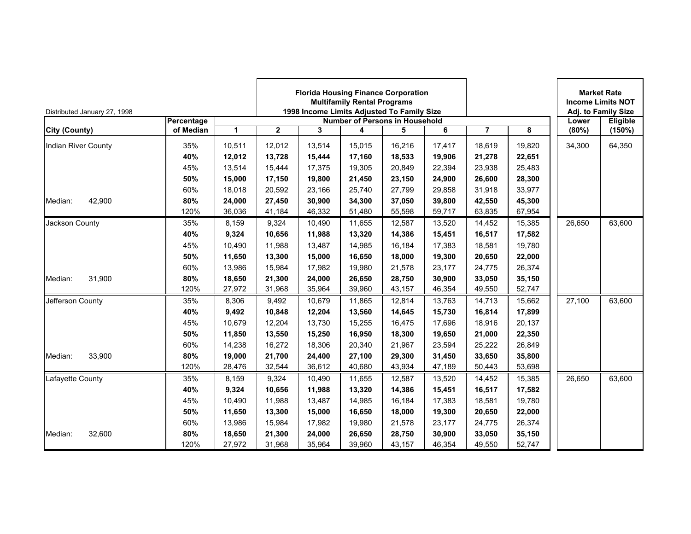| Distributed January 27, 1998 |            |        | <b>Florida Housing Finance Corporation</b><br><b>Multifamily Rental Programs</b><br>1998 Income Limits Adjusted To Family Size<br><b>Number of Persons in Household</b><br>$\mathbf{2}$<br>6<br>3<br>4<br>5 |        |        |        |        |                |        |        | <b>Market Rate</b><br><b>Income Limits NOT</b><br>Adj. to Family Size |
|------------------------------|------------|--------|-------------------------------------------------------------------------------------------------------------------------------------------------------------------------------------------------------------|--------|--------|--------|--------|----------------|--------|--------|-----------------------------------------------------------------------|
|                              | Percentage |        |                                                                                                                                                                                                             |        |        |        |        |                |        | Lower  | Eligible                                                              |
| <b>City (County)</b>         | of Median  | 1      |                                                                                                                                                                                                             |        |        |        |        | $\overline{7}$ | 8      | (80%)  | (150%)                                                                |
| Indian River County          | 35%        | 10,511 | 12,012                                                                                                                                                                                                      | 13,514 | 15,015 | 16,216 | 17,417 | 18,619         | 19.820 | 34,300 | 64,350                                                                |
|                              | 40%        | 12,012 | 13,728                                                                                                                                                                                                      | 15,444 | 17,160 | 18,533 | 19,906 | 21,278         | 22,651 |        |                                                                       |
|                              | 45%        | 13,514 | 15,444                                                                                                                                                                                                      | 17,375 | 19,305 | 20,849 | 22,394 | 23,938         | 25,483 |        |                                                                       |
|                              | 50%        | 15,000 | 17,150                                                                                                                                                                                                      | 19,800 | 21,450 | 23,150 | 24,900 | 26,600         | 28,300 |        |                                                                       |
|                              | 60%        | 18,018 | 20,592                                                                                                                                                                                                      | 23,166 | 25,740 | 27,799 | 29,858 | 31,918         | 33,977 |        |                                                                       |
| 42,900<br>Median:            | 80%        | 24,000 | 27,450                                                                                                                                                                                                      | 30,900 | 34,300 | 37,050 | 39,800 | 42,550         | 45,300 |        |                                                                       |
|                              | 120%       | 36,036 | 41,184                                                                                                                                                                                                      | 46,332 | 51,480 | 55,598 | 59,717 | 63,835         | 67,954 |        |                                                                       |
| Jackson County               | 35%        | 8,159  | 9,324                                                                                                                                                                                                       | 10,490 | 11,655 | 12,587 | 13,520 | 14,452         | 15,385 | 26,650 | 63,600                                                                |
|                              | 40%        | 9,324  | 10,656                                                                                                                                                                                                      | 11,988 | 13,320 | 14,386 | 15,451 | 16,517         | 17,582 |        |                                                                       |
|                              | 45%        | 10,490 | 11,988                                                                                                                                                                                                      | 13,487 | 14,985 | 16,184 | 17,383 | 18,581         | 19,780 |        |                                                                       |
|                              | 50%        | 11,650 | 13,300                                                                                                                                                                                                      | 15,000 | 16,650 | 18,000 | 19,300 | 20,650         | 22,000 |        |                                                                       |
|                              | 60%        | 13,986 | 15,984                                                                                                                                                                                                      | 17,982 | 19,980 | 21,578 | 23,177 | 24,775         | 26,374 |        |                                                                       |
| 31,900<br>Median:            | 80%        | 18.650 | 21,300                                                                                                                                                                                                      | 24,000 | 26,650 | 28,750 | 30.900 | 33,050         | 35,150 |        |                                                                       |
|                              | 120%       | 27,972 | 31,968                                                                                                                                                                                                      | 35,964 | 39,960 | 43,157 | 46,354 | 49,550         | 52,747 |        |                                                                       |
| Jefferson County             | 35%        | 8,306  | 9,492                                                                                                                                                                                                       | 10,679 | 11,865 | 12,814 | 13,763 | 14,713         | 15,662 | 27,100 | 63,600                                                                |
|                              | 40%        | 9,492  | 10,848                                                                                                                                                                                                      | 12,204 | 13,560 | 14,645 | 15,730 | 16,814         | 17,899 |        |                                                                       |
|                              | 45%        | 10,679 | 12,204                                                                                                                                                                                                      | 13,730 | 15,255 | 16,475 | 17,696 | 18,916         | 20,137 |        |                                                                       |
|                              | 50%        | 11,850 | 13,550                                                                                                                                                                                                      | 15,250 | 16,950 | 18,300 | 19,650 | 21,000         | 22,350 |        |                                                                       |
|                              | 60%        | 14,238 | 16,272                                                                                                                                                                                                      | 18,306 | 20,340 | 21,967 | 23,594 | 25,222         | 26,849 |        |                                                                       |
| 33,900<br>Median:            | 80%        | 19,000 | 21,700                                                                                                                                                                                                      | 24,400 | 27,100 | 29,300 | 31,450 | 33,650         | 35,800 |        |                                                                       |
|                              | 120%       | 28,476 | 32,544                                                                                                                                                                                                      | 36,612 | 40,680 | 43,934 | 47,189 | 50,443         | 53,698 |        |                                                                       |
| Lafayette County             | 35%        | 8,159  | 9,324                                                                                                                                                                                                       | 10,490 | 11,655 | 12,587 | 13,520 | 14,452         | 15,385 | 26,650 | 63,600                                                                |
|                              | 40%        | 9,324  | 10,656                                                                                                                                                                                                      | 11,988 | 13,320 | 14,386 | 15,451 | 16,517         | 17,582 |        |                                                                       |
|                              | 45%        | 10.490 | 11,988                                                                                                                                                                                                      | 13,487 | 14,985 | 16,184 | 17,383 | 18,581         | 19,780 |        |                                                                       |
|                              | 50%        | 11,650 | 13,300                                                                                                                                                                                                      | 15,000 | 16,650 | 18,000 | 19,300 | 20,650         | 22,000 |        |                                                                       |
|                              | 60%        | 13.986 | 15,984                                                                                                                                                                                                      | 17,982 | 19,980 | 21,578 | 23.177 | 24,775         | 26,374 |        |                                                                       |
| 32,600<br>Median:            | 80%        | 18,650 | 21,300                                                                                                                                                                                                      | 24,000 | 26,650 | 28,750 | 30,900 | 33,050         | 35,150 |        |                                                                       |
|                              | 120%       | 27,972 | 31,968                                                                                                                                                                                                      | 35,964 | 39,960 | 43,157 | 46,354 | 49,550         | 52,747 |        |                                                                       |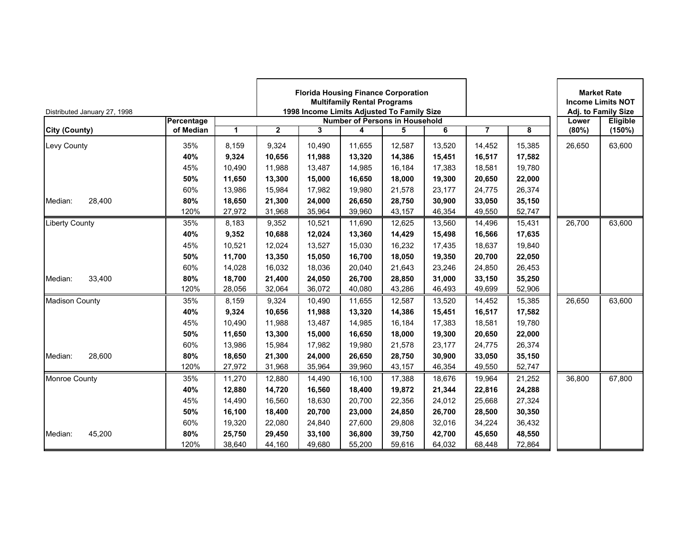| Distributed January 27, 1998 |            |        | <b>Florida Housing Finance Corporation</b><br><b>Multifamily Rental Programs</b><br>1998 Income Limits Adjusted To Family Size<br><b>Number of Persons in Household</b><br>$\overline{2}$<br>3<br>6<br>4<br>5 |        |        |        |        |                |        |        | <b>Market Rate</b><br><b>Income Limits NOT</b><br>Adj. to Family Size |
|------------------------------|------------|--------|---------------------------------------------------------------------------------------------------------------------------------------------------------------------------------------------------------------|--------|--------|--------|--------|----------------|--------|--------|-----------------------------------------------------------------------|
|                              | Percentage |        |                                                                                                                                                                                                               |        |        |        |        |                |        | Lower  | Eligible                                                              |
| <b>City (County)</b>         | of Median  | 1      |                                                                                                                                                                                                               |        |        |        |        | $\overline{7}$ | 8      | (80%)  | (150%)                                                                |
| Levy County                  | 35%        | 8.159  | 9,324                                                                                                                                                                                                         | 10.490 | 11.655 | 12,587 | 13,520 | 14,452         | 15,385 | 26,650 | 63,600                                                                |
|                              | 40%        | 9,324  | 10,656                                                                                                                                                                                                        | 11,988 | 13,320 | 14,386 | 15,451 | 16,517         | 17,582 |        |                                                                       |
|                              | 45%        | 10,490 | 11,988                                                                                                                                                                                                        | 13,487 | 14,985 | 16,184 | 17,383 | 18,581         | 19,780 |        |                                                                       |
|                              | 50%        | 11,650 | 13,300                                                                                                                                                                                                        | 15,000 | 16,650 | 18,000 | 19,300 | 20,650         | 22,000 |        |                                                                       |
|                              | 60%        | 13,986 | 15,984                                                                                                                                                                                                        | 17,982 | 19,980 | 21,578 | 23,177 | 24,775         | 26,374 |        |                                                                       |
| 28,400<br>Median:            | 80%        | 18,650 | 21,300                                                                                                                                                                                                        | 24,000 | 26,650 | 28,750 | 30,900 | 33,050         | 35,150 |        |                                                                       |
|                              | 120%       | 27,972 | 31,968                                                                                                                                                                                                        | 35,964 | 39,960 | 43,157 | 46,354 | 49,550         | 52,747 |        |                                                                       |
| <b>Liberty County</b>        | 35%        | 8,183  | 9,352                                                                                                                                                                                                         | 10,521 | 11,690 | 12,625 | 13,560 | 14,496         | 15,431 | 26,700 | 63,600                                                                |
|                              | 40%        | 9,352  | 10,688                                                                                                                                                                                                        | 12,024 | 13,360 | 14,429 | 15,498 | 16,566         | 17,635 |        |                                                                       |
|                              | 45%        | 10,521 | 12,024                                                                                                                                                                                                        | 13,527 | 15,030 | 16,232 | 17,435 | 18,637         | 19,840 |        |                                                                       |
|                              | 50%        | 11,700 | 13,350                                                                                                                                                                                                        | 15,050 | 16,700 | 18,050 | 19,350 | 20,700         | 22,050 |        |                                                                       |
|                              | 60%        | 14,028 | 16,032                                                                                                                                                                                                        | 18,036 | 20,040 | 21,643 | 23,246 | 24,850         | 26,453 |        |                                                                       |
| 33,400<br>Median:            | 80%        | 18,700 | 21,400                                                                                                                                                                                                        | 24,050 | 26,700 | 28,850 | 31,000 | 33,150         | 35,250 |        |                                                                       |
|                              | 120%       | 28,056 | 32,064                                                                                                                                                                                                        | 36,072 | 40,080 | 43,286 | 46,493 | 49,699         | 52,906 |        |                                                                       |
| <b>Madison County</b>        | 35%        | 8,159  | 9,324                                                                                                                                                                                                         | 10,490 | 11,655 | 12,587 | 13,520 | 14,452         | 15,385 | 26,650 | 63,600                                                                |
|                              | 40%        | 9,324  | 10,656                                                                                                                                                                                                        | 11,988 | 13,320 | 14,386 | 15,451 | 16,517         | 17,582 |        |                                                                       |
|                              | 45%        | 10,490 | 11,988                                                                                                                                                                                                        | 13,487 | 14,985 | 16,184 | 17,383 | 18,581         | 19,780 |        |                                                                       |
|                              | 50%        | 11,650 | 13,300                                                                                                                                                                                                        | 15,000 | 16,650 | 18,000 | 19,300 | 20,650         | 22,000 |        |                                                                       |
|                              | 60%        | 13,986 | 15,984                                                                                                                                                                                                        | 17,982 | 19,980 | 21,578 | 23,177 | 24,775         | 26,374 |        |                                                                       |
| 28,600<br>Median:            | 80%        | 18,650 | 21,300                                                                                                                                                                                                        | 24,000 | 26,650 | 28,750 | 30,900 | 33,050         | 35,150 |        |                                                                       |
|                              | 120%       | 27,972 | 31,968                                                                                                                                                                                                        | 35,964 | 39,960 | 43,157 | 46,354 | 49,550         | 52,747 |        |                                                                       |
| Monroe County                | 35%        | 11,270 | 12,880                                                                                                                                                                                                        | 14,490 | 16,100 | 17,388 | 18,676 | 19,964         | 21,252 | 36,800 | 67,800                                                                |
|                              | 40%        | 12,880 | 14,720                                                                                                                                                                                                        | 16,560 | 18,400 | 19,872 | 21,344 | 22,816         | 24,288 |        |                                                                       |
|                              | 45%        | 14,490 | 16,560                                                                                                                                                                                                        | 18,630 | 20,700 | 22,356 | 24,012 | 25,668         | 27,324 |        |                                                                       |
|                              | 50%        | 16,100 | 18,400                                                                                                                                                                                                        | 20,700 | 23,000 | 24,850 | 26,700 | 28,500         | 30,350 |        |                                                                       |
|                              | 60%        | 19.320 | 22,080                                                                                                                                                                                                        | 24.840 | 27,600 | 29,808 | 32.016 | 34,224         | 36,432 |        |                                                                       |
| 45,200<br>Median:            | 80%        | 25,750 | 29,450                                                                                                                                                                                                        | 33,100 | 36,800 | 39,750 | 42,700 | 45,650         | 48,550 |        |                                                                       |
|                              | 120%       | 38,640 | 44,160                                                                                                                                                                                                        | 49,680 | 55,200 | 59,616 | 64,032 | 68,448         | 72,864 |        |                                                                       |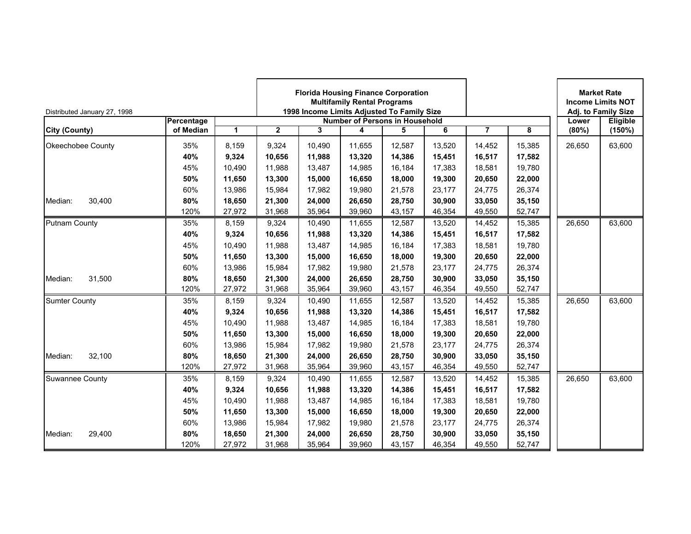| Distributed January 27, 1998 |            |        | <b>Florida Housing Finance Corporation</b><br><b>Multifamily Rental Programs</b><br>1998 Income Limits Adjusted To Family Size<br><b>Number of Persons in Household</b><br>$\overline{2}$<br>3<br>6<br>4<br>5 |        |        |        |        |                |        |        | <b>Market Rate</b><br><b>Income Limits NOT</b><br>Adj. to Family Size |
|------------------------------|------------|--------|---------------------------------------------------------------------------------------------------------------------------------------------------------------------------------------------------------------|--------|--------|--------|--------|----------------|--------|--------|-----------------------------------------------------------------------|
|                              | Percentage |        |                                                                                                                                                                                                               |        |        |        |        |                |        | Lower  | Eligible                                                              |
| <b>City (County)</b>         | of Median  | 1      |                                                                                                                                                                                                               |        |        |        |        | $\overline{7}$ | 8      | (80%)  | (150%)                                                                |
| Okeechobee County            | 35%        | 8.159  | 9,324                                                                                                                                                                                                         | 10.490 | 11.655 | 12,587 | 13,520 | 14,452         | 15,385 | 26,650 | 63,600                                                                |
|                              | 40%        | 9,324  | 10,656                                                                                                                                                                                                        | 11,988 | 13,320 | 14,386 | 15,451 | 16,517         | 17,582 |        |                                                                       |
|                              | 45%        | 10,490 | 11,988                                                                                                                                                                                                        | 13,487 | 14,985 | 16,184 | 17,383 | 18,581         | 19,780 |        |                                                                       |
|                              | 50%        | 11,650 | 13,300                                                                                                                                                                                                        | 15,000 | 16,650 | 18,000 | 19,300 | 20,650         | 22,000 |        |                                                                       |
|                              | 60%        | 13,986 | 15,984                                                                                                                                                                                                        | 17,982 | 19,980 | 21,578 | 23,177 | 24,775         | 26,374 |        |                                                                       |
| 30,400<br>Median:            | 80%        | 18,650 | 21,300                                                                                                                                                                                                        | 24,000 | 26,650 | 28,750 | 30,900 | 33,050         | 35,150 |        |                                                                       |
|                              | 120%       | 27,972 | 31,968                                                                                                                                                                                                        | 35,964 | 39,960 | 43,157 | 46,354 | 49,550         | 52,747 |        |                                                                       |
| <b>Putnam County</b>         | 35%        | 8,159  | 9,324                                                                                                                                                                                                         | 10,490 | 11,655 | 12,587 | 13,520 | 14,452         | 15,385 | 26,650 | 63,600                                                                |
|                              | 40%        | 9,324  | 10,656                                                                                                                                                                                                        | 11,988 | 13,320 | 14,386 | 15,451 | 16,517         | 17,582 |        |                                                                       |
|                              | 45%        | 10,490 | 11,988                                                                                                                                                                                                        | 13,487 | 14,985 | 16,184 | 17,383 | 18,581         | 19,780 |        |                                                                       |
|                              | 50%        | 11,650 | 13,300                                                                                                                                                                                                        | 15,000 | 16,650 | 18,000 | 19,300 | 20,650         | 22,000 |        |                                                                       |
|                              | 60%        | 13,986 | 15,984                                                                                                                                                                                                        | 17,982 | 19,980 | 21,578 | 23,177 | 24,775         | 26,374 |        |                                                                       |
| 31,500<br>Median:            | 80%        | 18,650 | 21,300                                                                                                                                                                                                        | 24,000 | 26,650 | 28,750 | 30,900 | 33,050         | 35,150 |        |                                                                       |
|                              | 120%       | 27,972 | 31,968                                                                                                                                                                                                        | 35,964 | 39,960 | 43,157 | 46,354 | 49,550         | 52,747 |        |                                                                       |
| <b>Sumter County</b>         | 35%        | 8,159  | 9,324                                                                                                                                                                                                         | 10,490 | 11,655 | 12,587 | 13,520 | 14,452         | 15,385 | 26,650 | 63,600                                                                |
|                              | 40%        | 9,324  | 10,656                                                                                                                                                                                                        | 11,988 | 13,320 | 14,386 | 15,451 | 16,517         | 17,582 |        |                                                                       |
|                              | 45%        | 10,490 | 11,988                                                                                                                                                                                                        | 13,487 | 14,985 | 16,184 | 17,383 | 18,581         | 19,780 |        |                                                                       |
|                              | 50%        | 11,650 | 13,300                                                                                                                                                                                                        | 15,000 | 16,650 | 18,000 | 19,300 | 20,650         | 22,000 |        |                                                                       |
|                              | 60%        | 13,986 | 15,984                                                                                                                                                                                                        | 17,982 | 19,980 | 21,578 | 23,177 | 24,775         | 26,374 |        |                                                                       |
| 32,100<br>Median:            | 80%        | 18,650 | 21,300                                                                                                                                                                                                        | 24,000 | 26,650 | 28,750 | 30,900 | 33,050         | 35,150 |        |                                                                       |
|                              | 120%       | 27,972 | 31,968                                                                                                                                                                                                        | 35,964 | 39,960 | 43,157 | 46,354 | 49,550         | 52,747 |        |                                                                       |
| <b>Suwannee County</b>       | 35%        | 8,159  | 9,324                                                                                                                                                                                                         | 10,490 | 11,655 | 12,587 | 13,520 | 14,452         | 15,385 | 26,650 | 63,600                                                                |
|                              | 40%        | 9,324  | 10,656                                                                                                                                                                                                        | 11,988 | 13,320 | 14,386 | 15,451 | 16,517         | 17,582 |        |                                                                       |
|                              | 45%        | 10.490 | 11,988                                                                                                                                                                                                        | 13,487 | 14,985 | 16,184 | 17,383 | 18,581         | 19,780 |        |                                                                       |
|                              | 50%        | 11,650 | 13,300                                                                                                                                                                                                        | 15,000 | 16,650 | 18,000 | 19,300 | 20,650         | 22,000 |        |                                                                       |
|                              | 60%        | 13.986 | 15,984                                                                                                                                                                                                        | 17,982 | 19,980 | 21,578 | 23.177 | 24,775         | 26,374 |        |                                                                       |
| Median:<br>29,400            | 80%        | 18,650 | 21,300                                                                                                                                                                                                        | 24,000 | 26,650 | 28,750 | 30,900 | 33,050         | 35,150 |        |                                                                       |
|                              | 120%       | 27,972 | 31,968                                                                                                                                                                                                        | 35,964 | 39,960 | 43,157 | 46,354 | 49,550         | 52,747 |        |                                                                       |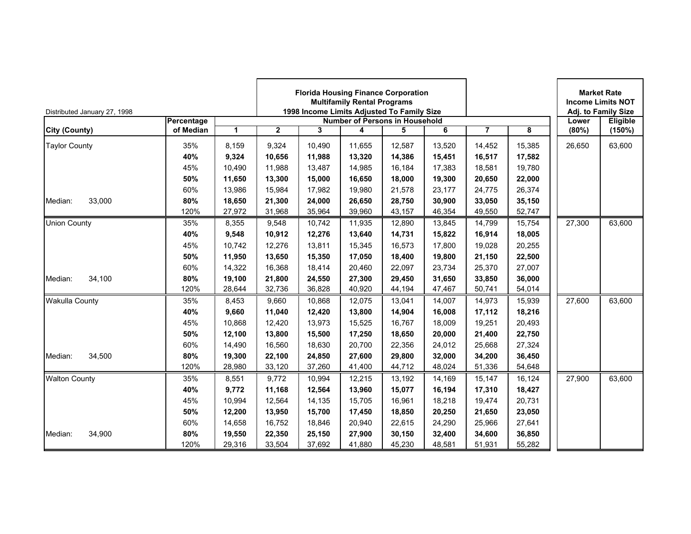| Distributed January 27, 1998 |            |        |                                       |        | <b>Multifamily Rental Programs</b> | <b>Florida Housing Finance Corporation</b><br>1998 Income Limits Adjusted To Family Size |        |                | <b>Market Rate</b><br><b>Income Limits NOT</b><br>Adj. to Family Size |        |          |
|------------------------------|------------|--------|---------------------------------------|--------|------------------------------------|------------------------------------------------------------------------------------------|--------|----------------|-----------------------------------------------------------------------|--------|----------|
|                              | Percentage |        | <b>Number of Persons in Household</b> |        |                                    |                                                                                          |        |                |                                                                       | Lower  | Eligible |
| <b>City (County)</b>         | of Median  | 1      | $\overline{2}$                        | 3      | 4                                  | 5                                                                                        | 6      | $\overline{7}$ | 8                                                                     | (80%)  | (150%)   |
| <b>Taylor County</b>         | 35%        | 8,159  | 9,324                                 | 10,490 | 11,655                             | 12,587                                                                                   | 13,520 | 14,452         | 15,385                                                                | 26,650 | 63,600   |
|                              | 40%        | 9,324  | 10,656                                | 11,988 | 13,320                             | 14,386                                                                                   | 15,451 | 16,517         | 17,582                                                                |        |          |
|                              | 45%        | 10,490 | 11,988                                | 13,487 | 14,985                             | 16,184                                                                                   | 17,383 | 18,581         | 19,780                                                                |        |          |
|                              | 50%        | 11,650 | 13,300                                | 15,000 | 16,650                             | 18,000                                                                                   | 19,300 | 20,650         | 22,000                                                                |        |          |
|                              | 60%        | 13,986 | 15,984                                | 17,982 | 19,980                             | 21,578                                                                                   | 23,177 | 24,775         | 26,374                                                                |        |          |
| 33,000<br>Median:            | 80%        | 18,650 | 21,300                                | 24,000 | 26,650                             | 28,750                                                                                   | 30,900 | 33,050         | 35,150                                                                |        |          |
|                              | 120%       | 27,972 | 31,968                                | 35,964 | 39,960                             | 43,157                                                                                   | 46,354 | 49,550         | 52,747                                                                |        |          |
| <b>Union County</b>          | 35%        | 8,355  | 9,548                                 | 10,742 | 11,935                             | 12,890                                                                                   | 13,845 | 14,799         | 15,754                                                                | 27,300 | 63,600   |
|                              | 40%        | 9,548  | 10,912                                | 12,276 | 13,640                             | 14,731                                                                                   | 15,822 | 16,914         | 18,005                                                                |        |          |
|                              | 45%        | 10.742 | 12.276                                | 13,811 | 15,345                             | 16,573                                                                                   | 17.800 | 19.028         | 20,255                                                                |        |          |
|                              | 50%        | 11,950 | 13,650                                | 15,350 | 17,050                             | 18,400                                                                                   | 19,800 | 21,150         | 22,500                                                                |        |          |
|                              | 60%        | 14,322 | 16,368                                | 18,414 | 20,460                             | 22,097                                                                                   | 23,734 | 25,370         | 27,007                                                                |        |          |
| 34.100<br>Median:            | 80%        | 19.100 | 21,800                                | 24,550 | 27,300                             | 29,450                                                                                   | 31.650 | 33,850         | 36,000                                                                |        |          |
|                              | 120%       | 28,644 | 32,736                                | 36,828 | 40,920                             | 44,194                                                                                   | 47,467 | 50,741         | 54,014                                                                |        |          |
| <b>Wakulla County</b>        | 35%        | 8,453  | 9,660                                 | 10,868 | 12,075                             | 13,041                                                                                   | 14,007 | 14,973         | 15,939                                                                | 27,600 | 63,600   |
|                              | 40%        | 9,660  | 11,040                                | 12,420 | 13,800                             | 14,904                                                                                   | 16,008 | 17,112         | 18,216                                                                |        |          |
|                              | 45%        | 10,868 | 12,420                                | 13,973 | 15,525                             | 16,767                                                                                   | 18,009 | 19,251         | 20,493                                                                |        |          |
|                              | 50%        | 12,100 | 13,800                                | 15,500 | 17,250                             | 18,650                                                                                   | 20,000 | 21,400         | 22,750                                                                |        |          |
|                              | 60%        | 14,490 | 16.560                                | 18,630 | 20,700                             | 22,356                                                                                   | 24,012 | 25,668         | 27,324                                                                |        |          |
| 34,500<br>Median:            | 80%        | 19,300 | 22,100                                | 24,850 | 27,600                             | 29,800                                                                                   | 32,000 | 34,200         | 36,450                                                                |        |          |
|                              | 120%       | 28,980 | 33,120                                | 37,260 | 41,400                             | 44,712                                                                                   | 48,024 | 51,336         | 54,648                                                                |        |          |
| <b>Walton County</b>         | 35%        | 8,551  | 9,772                                 | 10,994 | 12,215                             | 13,192                                                                                   | 14,169 | 15,147         | 16,124                                                                | 27,900 | 63,600   |
|                              | 40%        | 9.772  | 11,168                                | 12,564 | 13,960                             | 15,077                                                                                   | 16.194 | 17,310         | 18,427                                                                |        |          |
|                              | 45%        | 10,994 | 12,564                                | 14,135 | 15,705                             | 16,961                                                                                   | 18,218 | 19,474         | 20,731                                                                |        |          |
|                              | 50%        | 12,200 | 13,950                                | 15,700 | 17,450                             | 18,850                                                                                   | 20,250 | 21,650         | 23,050                                                                |        |          |
|                              | 60%        | 14,658 | 16,752                                | 18,846 | 20,940                             | 22,615                                                                                   | 24,290 | 25,966         | 27,641                                                                |        |          |
| Median:<br>34,900            | 80%        | 19,550 | 22,350                                | 25,150 | 27,900                             | 30,150                                                                                   | 32,400 | 34,600         | 36,850                                                                |        |          |
|                              | 120%       | 29,316 | 33,504                                | 37,692 | 41,880                             | 45,230                                                                                   | 48,581 | 51,931         | 55,282                                                                |        |          |